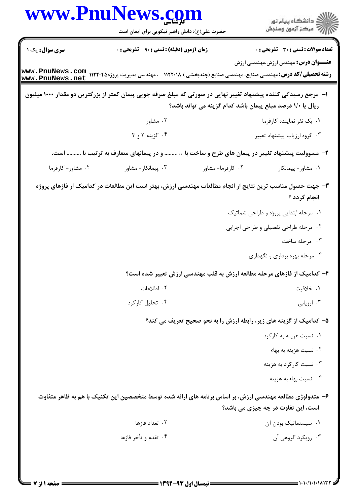|                                    | www.PnuNews.com                                                                                                   |                                                            | ر<br>دانشڪاه پيام نور)<br>ا∛ مرڪز آزمون وسنڊش                       |
|------------------------------------|-------------------------------------------------------------------------------------------------------------------|------------------------------------------------------------|---------------------------------------------------------------------|
|                                    | حضرت علی(ع): دانش راهبر نیکویی برای ایمان است                                                                     |                                                            |                                                                     |
| سری سوال: یک ۱                     | <b>زمان آزمون (دقیقه) : تستی : ۹۰ قشریحی : 0</b>                                                                  |                                                            | <b>تعداد سوالات : تستي : 30 ٪ تشريحي : 0</b>                        |
| www.PnuNews.com<br>www.PnuNews.net | <b>رشته تحصیلی/کد درس:</b> مهندسی صنایع، مهندسی صنایع (چندبخشی ) ۱۱۲۲۰۱۸ - ، مهندسی مدیریت پروژه۱۱۲۲۰۴۵           |                                                            | <b>عنــــوان درس:</b> مهندس ارزش،مهندسی ارزش                        |
|                                    | ا– ً مرجع رسیدگی کننده پیشنهاد تغییر نهایی در صورتی که مبلغ صرفه جویی پیمان کمتر از بزرگترین دو مقدار ۱۰۰۰ میلیون |                                                            |                                                                     |
|                                    |                                                                                                                   | ریال یا ۱/۰ درصد مبلغ پیمان باشد کدام گزینه می تواند باشد؟ |                                                                     |
|                                    | ۰۲ مشاور                                                                                                          |                                                            | ۰۱ يک نفر نماينده کارفرما                                           |
|                                    | ۰۴ گزینه ۲ و ۳                                                                                                    |                                                            | ۰۳ گروه ارزياب پيشنهاد تغيير                                        |
|                                    | و در پیمانهای متعارف به ترتیب با  است.                                                                            |                                                            | ۲– مسوولیت پیشنهاد تغییر در پیمان های طرح و ساخت با                 |
| ۰۴ مشاور- كارفرما                  | ۰۳ پیمانکار - مشاور                                                                                               | ۰۲ کارفرما- مشاور                                          | ٠١ مشاور- پيمانكار                                                  |
|                                    | ۳– جهت حصول مناسب ترین نتایج از انجام مطالعات مهندسی ارزش، بهتر است این مطالعات در کدامیک از فازهای پروژه         |                                                            | انجام گردد ؟                                                        |
|                                    |                                                                                                                   |                                                            | ۰۱ مرحله ابتدایی پروژه و طراحی شماتیک                               |
|                                    |                                                                                                                   |                                                            | ۰۲ مرحله طراحی تفصیلی و طراحی اجرایی                                |
|                                    |                                                                                                                   |                                                            | ۰۳ مرحله ساخت                                                       |
|                                    |                                                                                                                   |                                                            | ۰۴ مرحله بهره برداري و نگهداري                                      |
|                                    | ۴– کدامیک از فازهای مرحله مطالعه ارزش به قلب مهندسی ارزش تعبیر شده است؟                                           |                                                            |                                                                     |
|                                    | ۰۲ اطلاعات                                                                                                        |                                                            | ٠١. خلاقيت                                                          |
|                                    | ۰۴ تحلیل کارکرد                                                                                                   |                                                            | ۰۳ ارزیابی                                                          |
|                                    |                                                                                                                   |                                                            | ۵– کدامیک از گزینه های زیر، رابطه ارزش را به نحو صحیح تعریف می کند؟ |
|                                    |                                                                                                                   |                                                            | ۰۱ نسبت هزینه به کارکرد                                             |
|                                    |                                                                                                                   |                                                            | ۰۲ نسبت هزینه به بهاء                                               |
|                                    |                                                                                                                   |                                                            | ۰۳ نسبت کارکرد به هزینه                                             |
|                                    |                                                                                                                   |                                                            | ۰۴ نسبت بهاء به هزینه                                               |
|                                    | ۶– متدولوژی مطالعه مهندسی ارزش، بر اساس برنامه های ارائه شده توسط متخصصین این تکنیک با هم به ظاهر متفاوت          |                                                            | است، این تفاوت در چه چیزی می باشد؟                                  |
|                                    | ۰۲ تعداد فازها                                                                                                    |                                                            | ۰۱ سیستماتیک بودن آن                                                |
|                                    | ۰۴ تقدم و تأخر فازها                                                                                              |                                                            | ۰۳ رویکرد گروهی آن                                                  |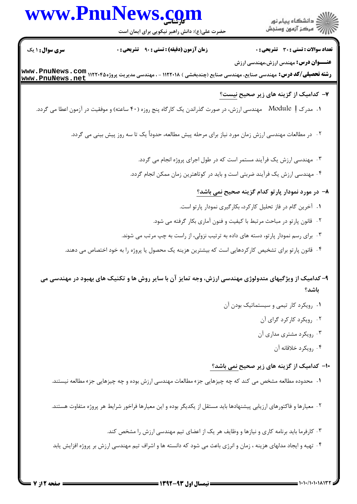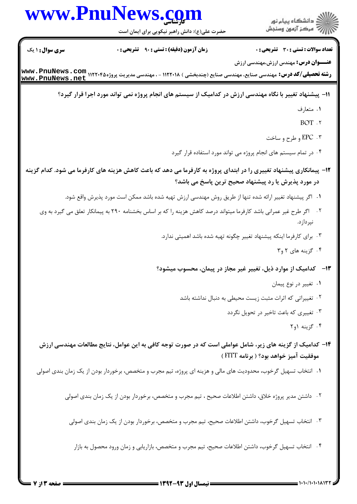|                        | www.PnuNews.com                                                                                                                                     |                                                                       |
|------------------------|-----------------------------------------------------------------------------------------------------------------------------------------------------|-----------------------------------------------------------------------|
|                        | حضرت علی(ع): دانش راهبر نیکویی برای ایمان است                                                                                                       |                                                                       |
| <b>سری سوال : ۱ یک</b> | <b>زمان آزمون (دقیقه) : تستی : ۹۰٪ تشریحی : 0</b>                                                                                                   | <b>تعداد سوالات : تستی : 30 ٪ تشریحی : 0</b>                          |
|                        | <b>رشته تحصیلی/کد درس:</b> مهندسی صنایع، مهندسی صنایع (چندبخشی ) ۱۱۲۲۰۱۸ - ، مهندسی مدیریت پروژه۱۱۲۲۰۴۵ <b>mww . PnuNews</b><br>www . PnuNews . net | <b>عنــــوان درس:</b> مهندس ارزش،مهندسی ارزش                          |
|                        | 11– پیشنهاد تغییر با نگاه مهندسی ارزش در کدامیک از سیستم های انجام پروژه نمی تواند مورد اجرا قرار گیرد؟                                             |                                                                       |
|                        |                                                                                                                                                     | ۰۱ متعارف                                                             |
|                        |                                                                                                                                                     | $BOT$ . $\ulcorner$                                                   |
|                        |                                                                                                                                                     | ۰۳ . EPC و طرح و ساخت                                                 |
|                        |                                                                                                                                                     | ۰۴ در تمام سیستم های انجام پروژه می تواند مورد استفاده قرار گیرد      |
|                        | ۱۲– پیمانکاری پیشنهاد تغییری را در ابتدای پروژه به کارفرما می دهد که باعث کاهش هزینه های کارفرما می شود. کدام گزینه                                 | در مورد پذیرش یا رد پیشنهاد صحیح ترین پاسخ می باشد؟                   |
|                        | ۰۱ گر پیشنهاد تغییر ارائه شده تنها از طریق روش مهندسی ارزش تهیه شده باشد ممکن است مورد پذیرش واقع شود.                                              |                                                                       |
|                        | ۰۲ - اگر طرح غیر عمرانی باشد کارفرما میتواند درصد کاهش هزینه را که بر اساس بخشنامه ۲۹۰ به پیمانکار تعلق می گیرد به وی                               | نپردازد.                                                              |
|                        |                                                                                                                                                     | ۰۳ برای کارفرما اینکه پیشنهاد تغییر چگونه تهیه شده باشد اهمیتی ندارد. |
|                        |                                                                                                                                                     | ۰۴ گزینه های ۲ و۳                                                     |
|                        |                                                                                                                                                     | ۱۳– کدامیک از موارد ذیل، تغییر غیر مجاز در پیمان، محسوب میشود؟        |
|                        |                                                                                                                                                     | ۰۱ تغییر در نوع پیمان                                                 |
|                        |                                                                                                                                                     | ۰۲ تغییراتی که اثرات مثبت زیست محیطی به دنبال نداشته باشد             |
|                        |                                                                                                                                                     | ۰۳ تغییری که باعث تاخیر در تحویل نگردد                                |
|                        |                                                                                                                                                     | ۰۴ گزینه ۱و۲                                                          |
|                        | ۱۴– کدامیک از گزینه های زیر، شامل عواملی است که در صورت توجه کافی به این عوامل، نتایج مطالعات مهندسی ارزش                                           | موفقیت آمیز خواهد بود؟ ( برنامه FITT )                                |
|                        | ۰۱ انتخاب تسهیل گرخوب، محدودیت های مالی و هزینه ای پروژه، تیم مجرب و متخصص، برخوردار بودن از یک زمان بندی اصولی                                     |                                                                       |
|                        | ۰۲ داشتن مدیر پروژه خلاق، داشتن اطلاعات صحیح ، تیم مجرب و متخصص، برخوردار بودن از یک زمان بندی اصولی                                                |                                                                       |
|                        | ۰۳ انتخاب تسهیل گرخوب، داشتن اطلاعات صحیح، تیم مجرب و متخصص، برخوردار بودن از یک زمان بندی اصولی                                                    |                                                                       |
|                        | ۰۴ انتخاب تسهیل گرخوب، داشتن اطلاعات صحیح، تیم مجرب و متخصص، بازاریابی و زمان ورود محصول به بازار                                                   |                                                                       |
|                        |                                                                                                                                                     |                                                                       |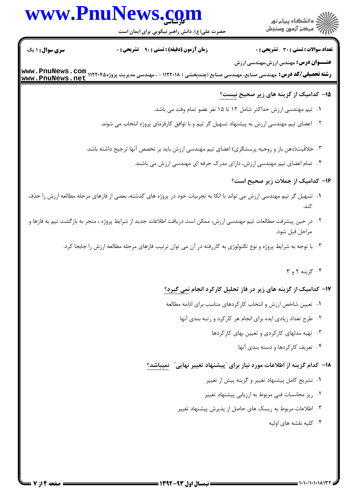## www.PnuNews.com

ار<br>اگر دانشگاه پیام نور<br>اگر مرکز آزمون وسنجش

حضرت علی(ع): دانش راهبر نیکویی برای ایمان است

**تعداد سوالات : تستي : 30 ٪ تشريحي : 0** 

**عنـــوان درس:** مهندس ارزش،مهندسی ارزش

**زمان آزمون (دقیقه) : تستی : ۹۰٪ تشریحی: 0** 

**سری سوال : ۱ یک** 

ر**شته تحصیلی/کد درس:** مهندسی صنایع، مهندسی صنایع (چندبخشی ) ۱۱۲۲۰۱۸ - ، مهندسی مدیریت پروژه۱۱۲۲۰۴۵ Mww **. PnuNews**<br>ر**شته تحصیلی/کد درس:** مهندسی صنایع، مهندسی صنایع (چندبخشی ) ۱۱۲۲۰۱۸ - ، مهندسی مدیریت پروژه۱۲۲۰۴۵ <del>۱۰۰۰۰ -</del> www.PnuNews.net

## ۱۵– کدامیک از گزینه های زیر صحیح نیست؟

- 1. تيم مهندسي ارزش حداكثر شامل ١٢ تا ١۵ نفر عضو تمام وقت مي باشد.
- ۰۲ اعضای تیم مهندسی ارزش به پیشنهاد تسهیل گر تیم و با توافق کارفرمای پروژه انتخاب می شوند.
- ۳. خلاقیت(ذهن باز و روحیه پرسشگری) اعضای تیم مهندسی ارزش باید بر تخصص آنها ترجیح داشته باشد.
	- ۰۴ تمام اعضای تیم مهندسی ارزش، دارای مدرک حرفه ای مهندسی ارزش می باشند.
		- ۱۶– کدامیک از جملات زیر صحیح است؟
- ۰۱ تسهیل گر تیم مهندسی ارزش می تواند با اتکا به تجربیات خود در پروژه های گذشته، بعضی از فازهای مرحله مطالعه ارزش را حذف كند.
- <sup>٢</sup>٠- در حين پيشرفت مطالعات تيم مهندسي ارزش، ممكن است دريافت اطلاعات جديد از شرايط پروژه ، منجر به بازگشت تيم به فازها و مراحل قبل شود.
	- ۰۳ با توجه به شرایط پروژه و نوع تکنولوژی به کاررفته در آن می توان ترتیب فازهای مرحله مطالعه ارزش را جابجا کرد.
		- ۰۴ گزینه ۲ و ۳

## ۱۷- کدامیک از گزینه های زیر در فاز تحلیل کارکرد انجام نمی گیرد؟

- ۰۱ تعیین شاخص ارزش و انتخاب کارکردهای مناسب برای ادامه مطالعه
	- ۰۲ طرح تعداد زیادی ایده برای انجام هر کارکرد و رتبه بندی آنها
		- ۰۳ تهیه مدلهای کارکردی و تعیین بهای کارکردها
			- ۰۴ تعریف کارکردها و دسته بندی آنها

## ۱۸− کدام گزینه از اطلاعات مورد نیاز برای ″پیشنهاد تغییر نهایی″ نمیباشد؟

- ۰۱ تشریح کامل پیشنهاد تغییر و گزینه پیش از تغییر
- ۰۲ ریز محاسبات فنی مربوط به ارزیابی پیشنهاد تغییر
- ۰۳ اطلاعات مربوط به ریسک های حاصل از پذیرش پیشنهاد تغییر
	- ۰۴ کلیه نقشه های اولیه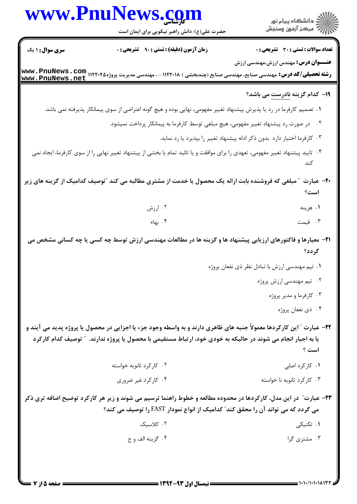|                        | www.PnuNews.com                                                                                                                                                                                                                       |                                                                           |
|------------------------|---------------------------------------------------------------------------------------------------------------------------------------------------------------------------------------------------------------------------------------|---------------------------------------------------------------------------|
|                        | حضرت علی(ع): دانش راهبر نیکویی برای ایمان است                                                                                                                                                                                         |                                                                           |
| <b>سری سوال : ۱ یک</b> | <b>زمان آزمون (دقیقه) : تستی : ۹۰ قشریحی : .</b>                                                                                                                                                                                      | <b>تعداد سوالات : تستی : 30 - تشریحی : 0</b>                              |
|                        | <b>رشته تحصیلی/کد درس:</b> مهندسی صنایع، مهندسی صنایع (چندبخشی ) ۱۱۲۲۰۱۸ - ، مهندسی مدیریت پروژه۱۱۲۲۰۴۵ Mww . PnuNews<br>س <b>www . PnuNews . net</b>                                                                                 | <b>عنـــوان درس:</b> مهندس ارزش،مهندسی ارزش                               |
|                        |                                                                                                                                                                                                                                       | ۱۹- کدام گزینه <u>نادرست</u> می باشد؟                                     |
|                        | ۰۱ تصمیم کارفرما در رد یا پذیرش پیشنهاد تغییر مفهومی، نهایی بوده و هیچ گونه اعتراضی از سوی پیمانکار پذیرفته نمی باشد.                                                                                                                 |                                                                           |
|                        | ۰۲ در صورت رد پیشنهاد تغییر مفهومی، هیچ مبلغی توسط کارفرما به پیمانکار پرداخت نمیشود.                                                                                                                                                 |                                                                           |
|                        |                                                                                                                                                                                                                                       | ۰۳ کارفرما اختیار دارد بدون ذکر ادله پیشنهاد تغییر را بپذیرد یا رد نماید. |
|                        | ۰۴ تایید پیشنهاد تغییر مفهومی، تعهدی را برای موافقت و یا تائید تمام یا بخشی از پیشنهاد تغییر نهایی را از سوی کارفرما، ایجاد نمی                                                                                                       | كند                                                                       |
|                        | مبلغی که فروشنده بابت ارائه یک محصول یا خدمت از مشتری مطالبه می کند "توصیف کدامیک از گزینه های زیر                                                                                                                                    | <b>۳۰</b> عبارت<br>است؟                                                   |
|                        | ۰۲ ارزش                                                                                                                                                                                                                               | ۰۱ هزینه                                                                  |
|                        | ۰۴ بهاء                                                                                                                                                                                                                               | ۰۳ قیمت                                                                   |
|                        | <b>۲۱</b> - معیارها و فاکتورهای ارزیابی پیشنهاد ها و گزینه ها در مطالعات مهندسی ارزش توسط چه کسی یا چه کسانی مشخص می                                                                                                                  | گر دد؟                                                                    |
|                        |                                                                                                                                                                                                                                       | ۰۱ تیم مهندسی ارزش با تبادل نظر ذی نفعان پروژه                            |
|                        |                                                                                                                                                                                                                                       | ۰۲ تیم مهندسی ارزش پروژه                                                  |
|                        |                                                                                                                                                                                                                                       | ۰۳ کارفرما و مدیر پروژه                                                   |
|                        |                                                                                                                                                                                                                                       | ۰۴ ذي نفعان پروژه                                                         |
|                        | ۲۲- عبارت ″ این کارکردها معمولاً جنبه های ظاهری دارند و به واسطه وجود جزء یا اجزایی در محصول یا پروژه پدید می آیند و<br>یا به اجبار انجام می شوند در حالیکه به خودی خود، ارتباط مستقیمی با محصول یا پروژه ندارند. ″ توصیف کدام کارکرد | است ؟                                                                     |
|                        | ۰۲ کارکرد ثانویه خواسته                                                                                                                                                                                                               | ۰۱ کارکرد اصلی                                                            |
|                        | ۰۴ کارکرد غیر ضروری                                                                                                                                                                                                                   | ۰۳ کارکرد ثانویه نا خواسته                                                |
|                        | ۲۳– عبارت ّ در این مدل، کارکردها در محدوده مطالعه و خطوط راهنما ترسیم می شوند و زیر هر کارکرد توضیح اضافه تری ذکر<br>می گردد که می تواند آن را محقق کند" کدامیک از انواع نمودار FAST را توصیف می کند؟                                 |                                                                           |
|                        | ۰۲ کلاسیک                                                                                                                                                                                                                             | ۱. تکنیک <sub>ی</sub>                                                     |
|                        |                                                                                                                                                                                                                                       |                                                                           |

**= صفحه 5 از 7 =**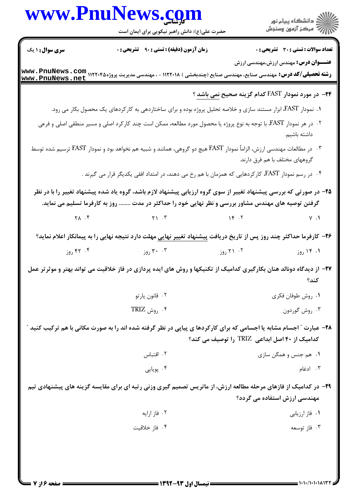|                        | www.PnuNews.com<br>حضرت علی(ع): دانش راهبر نیکویی برای ایمان است                                                                                                                                                         |                                                            | )<br>  دانشگاه پیام نور<br>    -             |
|------------------------|--------------------------------------------------------------------------------------------------------------------------------------------------------------------------------------------------------------------------|------------------------------------------------------------|----------------------------------------------|
| <b>سری سوال :</b> ۱ یک | زمان آزمون (دقیقه) : تستی : ۹۰٪ تشریحی : ۰                                                                                                                                                                               |                                                            | تعداد سوالات : تستى : 30 ٪ تشريحي : 0        |
|                        |                                                                                                                                                                                                                          |                                                            | <b>عنــــوان درس:</b> مهندس ارزش،مهندسی ارزش |
|                        |                                                                                                                                                                                                                          | <b>۲۴</b> - در مورد نمودار FAST کدام گزینه صحیح نمی باشد ؟ |                                              |
|                        | ۰۱ نمودار FAST، ابزار مستند سازی و خلاصه تحلیل پروژه بوده و برای ساختاردهی به کارکردهای یک محصول بکار می رود.                                                                                                            |                                                            |                                              |
|                        | ۰۲ در هر نمودار FAST، با توجه به نوع پروژه یا محصول مورد مطالعه، ممکن است چند کارکرد اصلی و مسیر منطقی اصلی و فرعی                                                                                                       |                                                            | داشته باشیم.                                 |
|                        | ۰۳ در مطالعات مهندسی ارزش، الزاماً نمودار FAST هیچ دو گروهی، همانند و شبیه هم نخواهد بود و نمودار FAST ترسیم شده توسط                                                                                                    |                                                            | گروههای مختلف با هم فرق دارند.               |
|                        | ۰۴ در رسم نمودار FAST، کارکردهایی که همزمان با هم رخ می دهند، در امتداد افقی یکدیگر قرار می گیرند .                                                                                                                      |                                                            |                                              |
|                        | ۲۵– در صورتی که بررسی پیشنهاد تغییر از سوی گروه ارزیابی پیشنهاد لازم باشد، گروه یاد شده پیشنهاد تغییر را با در نظر<br>گرفتن توصیه های مهندس مشاور بررسی و نظر نهایی خود را حداکثر در مدت  روز به کارفرما تسلیم می نماید. |                                                            |                                              |
|                        | $Y \wedge T$ $Y \wedge T$ $Y \wedge T$ $Y \wedge T$ $Y \wedge T$                                                                                                                                                         |                                                            |                                              |
|                        | <b>۲۶</b> – کارفرما حداکثر چند روز پس از تاریخ دریافت پیشنهاد تغییر نهایی مهلت دارد نتیجه نهایی را به پیمانکار اعلام نماید؟                                                                                              |                                                            |                                              |
| ۰۴ روز                 | ۳۰ . ۳۰ روز $\mathbf{r}$                                                                                                                                                                                                 | ۲۱ .۲ روز                                                  | ۰۱ ۱۴ روز                                    |
|                        | ۲۷– از دیدگاه دونالد هنان بکارگیری کدامیک از تکنیکها و روش های ایده پردازی در فاز خلاقیت می تواند بهتر و موثرتر عمل                                                                                                      |                                                            | كند؟                                         |
|                        | ۰۲ قانون پارتو                                                                                                                                                                                                           |                                                            | ٠١. روش طوفان فكرى                           |
|                        | $\text{TRIZ}_{\text{gen}}$ . ۶ .                                                                                                                                                                                         |                                                            | ۰۳ روش گوردون                                |
|                        | ۲۸- عبارت " اجسام مشابه یا اجسامی که برای کارکردها ی پیاپی در نظر گرفته شده اند را به صورت مکانی با هم ترکیب کنید                                                                                                        |                                                            |                                              |
|                        |                                                                                                                                                                                                                          | کدامیک از ۴۰ اصل ابداعی  TRIZ  را توصیف می کند؟            |                                              |
|                        |                                                                                                                                                                                                                          |                                                            |                                              |
|                        | ۰۲ اقتباس                                                                                                                                                                                                                |                                                            | ۰۱ هم جنس و همگن سازی                        |
|                        | ۰۴ پویایی                                                                                                                                                                                                                |                                                            | ۰۳ ادغام                                     |
|                        | ۲۹- در کدامیک از فازهای مرحله مطالعه ارزش، از ماتریس تصمیم گیری وزنی رتبه ای برای مقایسه گزینه های پیشنهادی تیم                                                                                                          |                                                            | مهندسی ارزش استفاده می گردد؟                 |
|                        | ۰۲ فاز ارايه                                                                                                                                                                                                             |                                                            | ۰۱ فاز ارزیابی                               |